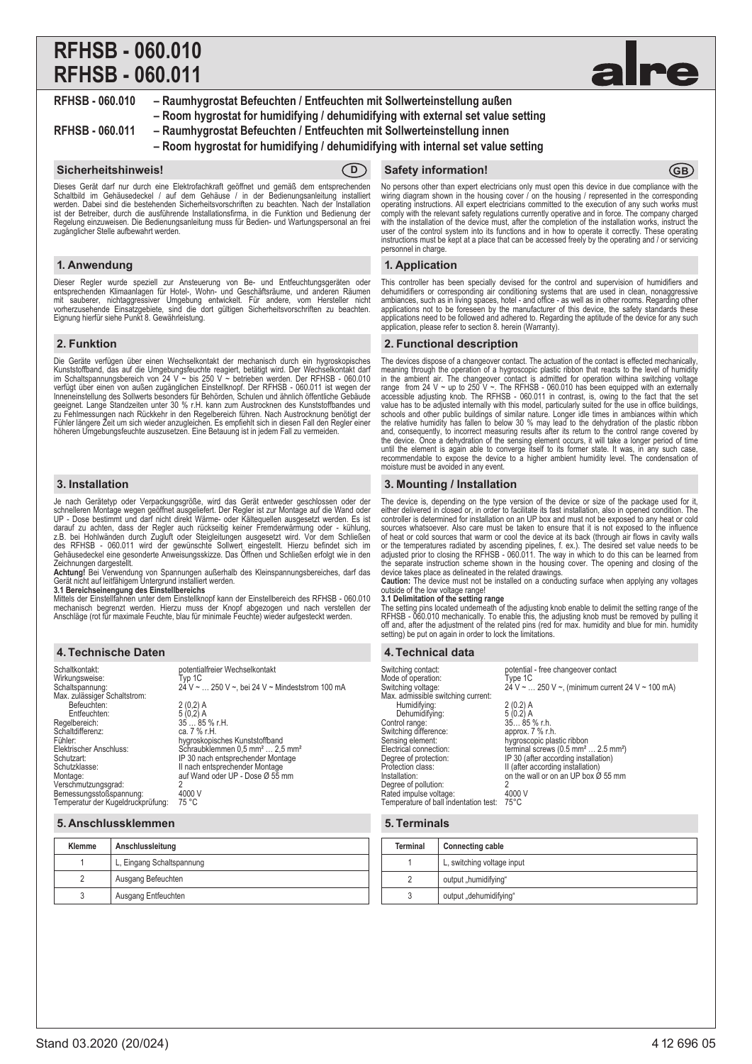# **RFHSB - 060.010 RFHSB - 060.011**



**RFHSB - 060.010 – Raumhygrostat Befeuchten / Entfeuchten mit Sollwerteinstellung außen – Room hygrostat for humidifying / dehumidifying with external set value setting**

**RFHSB - 060.011 – Raumhygrostat Befeuchten / Entfeuchten mit Sollwerteinstellung innen**

**– Room hygrostat for humidifying / dehumidifying with internal set value setting**

Dieses Gerät darf nur durch eine Elektrofachkraft geöffnet und gemäß dem entsprechenden<br>Schaltbild im Gehäusedeckel / auf dem Gehäuse / in der Bedienungsanleitung installiert<br>werden. Dabei sind die bestehenden Sicherheits ist der Betreiber, durch die ausführende Installationsfirma, in die Funktion und Bedienung der Regelung einzuweisen. Die Bedienungsanleitung muss für Bedien- und Wartungspersonal an frei zugänglicher Stelle aufbewahrt werden.

# **1. Anwendung**

Dieser Regler wurde speziell zur Ansteuerung von Be- und Entfeuchtungsgeräten oder<br>entsprechenden Klimaanlagen für Hotel-, Wohn- und Geschäftsräume, und anderen Räumen<br>mit sauberer, nichtaggressiver Umgebung entwickelt. Fü Eignung hierfür siehe Punkt 8. Gewährleistung.

# **2. Funktion**

Die Geräte verfügen über einen Wechselkontakt der mechanisch durch ein hygroskopisches Kunststoffband, das auf die Umgebungsfeuchte reagiert, betätigt wird. Der Wechselkontakt darf<br>im Schaltspannungsbereich von 24 V ~ bis 250 V ~ betrieben werden. Der RFHSB - 060.010<br>verfügt über einen von außen zugänglichen Inneneinstellung des Sollwerts besonders für Behörden, Schulen und ähnlich öffentliche Gebäude geeignet. Lange Standzeiten unter 30 % r.H. kann zum Austrocknen des Kunststoffbandes und zu Fehlmessungen nach Rückkehr in den Regelbereich führen. Nach Austrocknung benötigt der Fühler längere Zeit um sich wieder anzugleichen. Es empfiehlt sich in diesen Fall den Regler einer höheren Umgebungsfeuchte auszusetzen. Eine Betauung ist in jedem Fall zu vermeiden.

# **3. Installation**

Je nach Gerätetyp oder Verpackungsgröße, wird das Gerät entweder geschlossen oder der<br>schnelleren Montage wegen geöffnet ausgeliefert. Der Regler ist zur Montage auf die Wand oder<br>UP - Dose bestimmt und darf nicht direkt W darauf zu achten, dass der Regler auch rückseitig keiner Fremderwärmung oder - kühlung,<br>z.B. bei Hohlwänden durch Zugluft oder Steigleitungen ausgesetzt wird. Vor dem Schließen<br>des RFHSB - 060.011 wird der gewünschte Sollw Gehäusedeckel eine gesonderte Anweisungsskizze. Das Offnen und Schließen erfolgt wie in den<br>Zeichnungen dargestellt.<br>**Achtung!** Bei Verwendung von Spannungen außerhalb des Kleinspannungsbereiches, darf das

Gerät nicht auf leitfähigem Untergrund installiert werden.

**3.1 Bereichseinengung des Einstellbereichs**<br>Mittels der Einstellfahnen unter dem Einstellknopf kann der Einstellbereich des RFHSB - 060.010 mechanisch begrenzt werden. Hierzu muss der Knopf abgezogen und nach verstellen der Anschläge (rot für maximale Feuchte, blau für minimale Feuchte) wieder aufgesteckt werden.

# **4. Technische Daten 4. Technical data**

| Schaltkontakt:                                                               | potentialfreier Wechselkontakt                         |
|------------------------------------------------------------------------------|--------------------------------------------------------|
| Wirkungsweise:                                                               | Typ 1C                                                 |
| Schaltspannung:                                                              | 24 V ~  250 V ~, bei 24 V ~ Mindeststrom 100 mA        |
| Max. zulässiger Schaltstrom:<br>Befeuchten:<br>Entfeuchten:<br>Regelbereich: | $2(0,2)$ A<br>$5(0,2)$ A<br>$3585$ % r.H.              |
| Schaltdifferenz:                                                             | ca. 7 % r.H.                                           |
| Fühler:                                                                      | hygroskopisches Kunststoffband                         |
| Elektrischer Anschluss:                                                      | Schraubklemmen 0,5 mm <sup>2</sup> 2,5 mm <sup>2</sup> |
| Schutzart:                                                                   | IP 30 nach entsprechender Montage                      |
| Schutzklasse:                                                                | II nach entsprechender Montage                         |
| Montage:                                                                     | auf Wand oder UP - Dose Ø 55 mm                        |
| Verschmutzungsgrad:                                                          | 2                                                      |
| Bemessungsstoßspannung:                                                      | 4000 V                                                 |
| Temperatur der Kugeldruckprüfung:                                            | 75 °C                                                  |

# **5. Anschlussklemmen**

| Klemme | Anschlussleitung          |
|--------|---------------------------|
|        | L, Eingang Schaltspannung |
|        | Ausgang Befeuchten        |
|        | Ausgang Entfeuchten       |

# **Sicherheitshinweis! CD** Safety information! **GB**

No persons other than expert electricians only must open this device in due compliance with the<br>wiring diagram shown in the housing cover / on the housing / represented in the corresponding<br>operating instructions. All expe comply with the relevant safety regulations currently operative and in force. The company charged with the installation of the device must, after the completion of the installation works, instruct the user of the control system into its functions and in how to operate it correctly. These operating instructions must be kept at a place that can be accessed freely by the operating and / or servicing personnel in charge.

# **1. Application**

This controller has been specially devised for the control and supervision of humidifiers and dehumidifiers or corresponding air conditioning systems that are used in clean, nonaggressive ambiances, such as in living spaces, hotel - and office - as well as in other rooms. Regarding other applications not to be fore

# **2. Functional description**

The devices dispose of a changeover contact. The actuation of the contact is effected mechanically, meaning through the operation of a hygroscopic plastic ribbon that reacts to the level of humidity<br>in the ambient air. The changeover contact is admitted for operation withina switching voltage<br>range from 24 V ~ up to 250 accessible adjusting knob. The RFHSB - 060.011 in contrast, is, owing to the fact that the set value has to be adjusted internally with this model, particularly suited for the use in office buildings, schools and other pub until the element is again able to converge itself to its former state. It was, in any such case, recommendable to expose the device to a higher ambient humidity level. The condensation of moisture must be avoided in any event.

# **3. Mounting / Installation**

The device is, depending on the type version of the device or size of the package used for it,<br>either delivered in closed or, in order to facilitate its fast installation, also in opened condition. The<br>controller is determ sources whatsoever. Also care must be taken to ensure that it is not exposed to the influence of heat or cold sources that warm or cool the device at its back (through air flows in cavity walls or the temperatures radiated by ascending pipelines, f. ex.). The desired set value needs to be adjusted prior to closing the RFHSB - 060.011. The way in which to do this can be learned from<br>the separate instruction scheme shown in the housing cover. The opening and closing of the<br>device takes place as delineated in

**Caution:** The device must not be installed on a conducting surface when applying any voltages outside of the low voltage range!

# **3.1 Delimitation of the setting range**

The setting pins located underneath of the adjusting knob enable to delimit the setting range of the<br>RFHSB - 060.010 mechanically. To enable this, the adjusting knob must be removed by pulling it<br>off and, after the adjustm setting) be put on again in order to lock the limitations.

| potential - free changeover contact<br>Switching contact:<br>Mode of operation:<br>Tvpe 1C<br>24 V ~  250 V ~, (minimum current 24 V ~ 100 mA)<br>Switching voltage:<br>Max. admissible switching current:                                                                                                                                                                                                                                                                                                                                                                                                             |  |
|------------------------------------------------------------------------------------------------------------------------------------------------------------------------------------------------------------------------------------------------------------------------------------------------------------------------------------------------------------------------------------------------------------------------------------------------------------------------------------------------------------------------------------------------------------------------------------------------------------------------|--|
| Humidifying:<br>$2(0.2)$ A<br>Dehumidifying:<br>$5(0.2)$ A<br>$3585%$ r.h.<br>Control range:<br>Switching difference:<br>approx. $7%$ r.h.<br>Sensing element:<br>hygroscopic plastic ribbon<br>Electrical connection:<br>terminal screws $(0.5 \text{ mm}^2 \dots 2.5 \text{ mm}^2)$<br>IP 30 (after according installation)<br>Degree of protection:<br>Protection class:<br>II (after according installation)<br>on the wall or on an UP box $\hat{\varnothing}$ 55 mm<br>Installation:<br>Degree of pollution:<br>2<br>Rated impulse voltage:<br>4000 V<br>Temperature of ball indentation test:<br>$75^{\circ}$ C |  |
|                                                                                                                                                                                                                                                                                                                                                                                                                                                                                                                                                                                                                        |  |

# **5. Terminals**

| Terminal | <b>Connecting cable</b>    |
|----------|----------------------------|
|          | L, switching voltage input |
|          | output "humidifying"       |
|          | output "dehumidifying"     |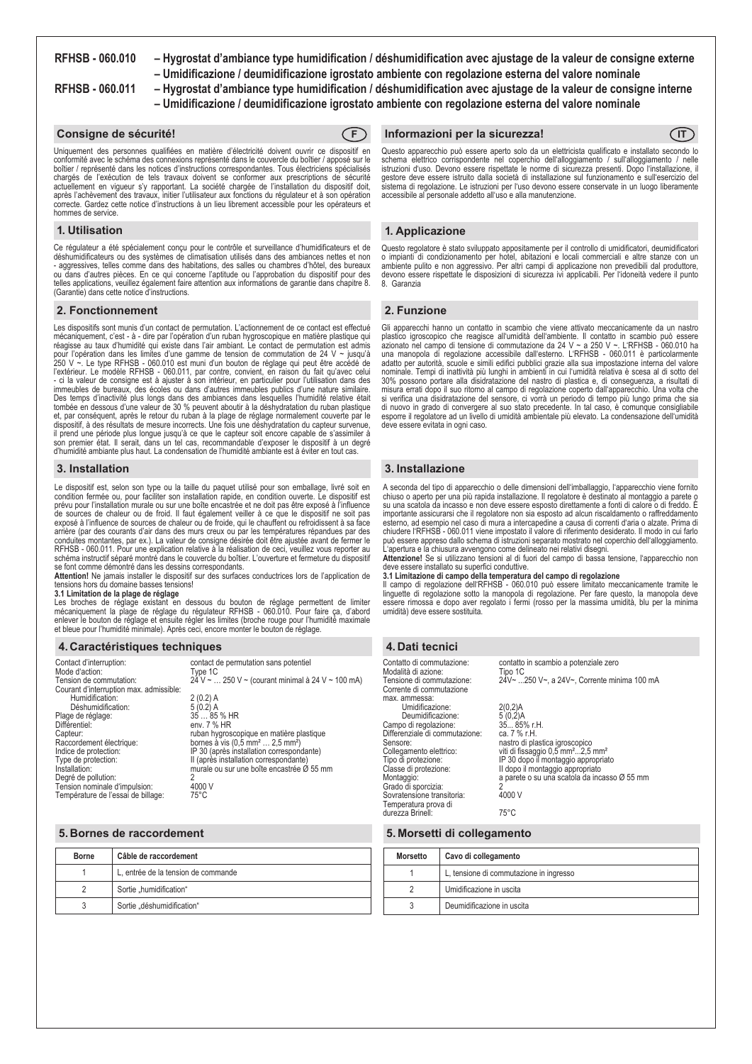**RFHSB - 060.010 – Hygrostat d'ambiance type humidification / déshumidification avec ajustage de la valeur de consigne externe – Umidificazione / deumidificazione igrostato ambiente con regolazione esterna del valore nominale**

**RFHSB - 060.011 – Hygrostat d'ambiance type humidification / déshumidification avec ajustage de la valeur de consigne interne – Umidificazione / deumidificazione igrostato ambiente con regolazione esterna del valore nominale**

### **Consigne de sécurité! F**



Uniquement des personnes qualifiées en matière d'électricité doivent ouvrir ce dispositif en conformité avec le schéma des connexions représenté dans le couvercle du boîtier / apposé sur le boîtier / représenté dans les notices d'instructions correspondantes. Tous électriciens spécialisés chargés de l'exécution de tels travaux doivent se conformer aux prescriptions de sécurité actuellement en vigueur s'y rapportant. La société chargée de l'installation du dispositif doit,<br>après l'achèvement des travaux, initier l'utilisateur aux fonctions du régulateur et à son opération correcte. Gardez cette notice d'instructions à un lieu librement accessible pour les opérateurs et hommes de service.

### **1. Utilisation**

Ce régulateur a été spécialement conçu pour le contrôle et surveillance d'humidificateurs et de déshumidificateurs ou des systèmes de climatisation utilisés dans des ambiances nettes et non - aggressives, telles comme dans des habitations, des salles ou chambres d'hôtel, des bureaux ou dans d'autres pièces. En ce qui concerne l'aptitude ou l'approbation du dispositif pour des<br>telles applications, veuillez également faire attention aux informations de garantie dans chapitre 8.<br>(Garantie) dans cette not

### **2. Fonctionnement**

Les dispositifs sont munis d'un contact de permutation. L'actionnement de ce contact est effectué mécaniquement, c'est - à - dire par l'opération d'un ruban hygroscopique en matière plastique qui réagisse au taux d'humidité qui existe dans l'air ambiant. Le contact de permutation est admis pour l'opération dans les limites d'une gamme de tension de commutation de 24 V ~ jusqu'à 250 V ~. Le type RFHSB - 060.010 est muni d'un bouton de réglage qui peut être accédé de l'extérieur. Le modèle RFHSB - 060.011, par contre, convient, en raison du fait qu'avec celui - ci la valeur de consigne est à ajuster à son intérieur, en particulier pour l'utilisation dans des immeubles de bureaux, des écoles ou dans d'autres immeubles publics d'une nature similaire. Des temps d'inactivité plus longs dans des ambiances dans lesquelles l'humidité relative était<br>tombée en dessous d'une valeur de 30 % peuvent aboutir à la déshydratation du ruban plastique<br>et, par conséquent, après le reto dispositif, à des résultats de mesure incorrects. Une fois une déshydratation du capteur survenue, il prend une période plus longue jusqu'à ce que le capteur soit encore capable de s'assimiler à son premier état. Il serait, dans un tel cas, recommandable d'exposer le dispositif à un degré d'humidité ambiante plus haut. La condensation de l'humidité ambiante est à éviter en tout cas.

# **3. Installation**

Le dispositif est, selon son type ou la taille du paquet utilisé pour son emballage, livré soit en condition fermée ou, pour faciliter son installation rapide, en condition ouverte. Le dispositif est prévu pour l'installation murale ou sur une boîte encastrée et ne doit pas être exposé à l'influence de sources de chaleur ou de froid. Il faut également veiller à ce que le dispositif ne soit pas exposé à l'influence de sources de chaleur ou de froide, qui le chauffent ou refroidissent à sa face arrière (par des courants d'air dans des murs creux ou par les températures répandues par des conduites montantes, par ex.). La valeur de consigne désirée doit être ajustée avant de fermer le RFHSB - 060.011. Pour une explication relative à la réalisation de ceci, veuillez vous reporter au schéma instructif séparé montré dans le couvercle du boîtier. L'ouverture et fermeture du dispositif se font comme démontré dans les dessins correspondants.

**Attention!** Ne jamais installer le dispositif sur des surfaces conductrices lors de l'application de tensions hors du domaine basses tensions!

**3.1 Limitation de la plage de réglage**<br>Les broches de réglage existant en dessous du bouton de réglage permettent de limiter<br>mécaniquement la plage de réglage du régulateur RFHSB - 060.010. Pour faire ça, d'abord enlever le bouton de réglage et ensuite régler les limites (broche rouge pour l'humidité maximale<br>et bleue pour l'humidité minimale). Après ceci, encore monter le bouton de réglage.

# **4. Caractéristiques techniques 4. Dati tecnici**

| Contact d'interruption:<br>Mode d'action:<br>Tension de commutation:<br>Courant d'interruption max. admissible:<br>Humidification:<br>Déshumidification:<br>Plage de réglage:<br>Différentiel:<br>Capteur:<br>Raccordement électrique:<br>Indice de protection:<br>Type de protection:<br>Installation:<br>Degré de pollution: | contact de permutation sans potentiel<br>Type 1C<br>24 V ~  250 V ~ (courant minimal à 24 V ~ 100 mA)<br>$2(0.2)$ A<br>$5(0.2)$ A<br>35  85 % HR<br>env. 7 % HR<br>ruban hygroscopique en matière plastique<br>bornes à vis $(0,5 \text{ mm}^2  2,5 \text{ mm}^2)$<br>IP 30 (après installation correspondante)<br>II (après installation correspondante)<br>murale ou sur une boîte encastrée Ø 55 mm |
|--------------------------------------------------------------------------------------------------------------------------------------------------------------------------------------------------------------------------------------------------------------------------------------------------------------------------------|--------------------------------------------------------------------------------------------------------------------------------------------------------------------------------------------------------------------------------------------------------------------------------------------------------------------------------------------------------------------------------------------------------|
| Tension nominale d'impulsion:                                                                                                                                                                                                                                                                                                  | 4000 V                                                                                                                                                                                                                                                                                                                                                                                                 |
| Température de l'essai de billage:                                                                                                                                                                                                                                                                                             | $75^{\circ}$ C                                                                                                                                                                                                                                                                                                                                                                                         |

#### **5. Bornes de raccordement**

| Borne | Câble de raccordement               |
|-------|-------------------------------------|
|       | L, entrée de la tension de commande |
|       | Sortie "humidification"             |
|       | Sortie "déshumidification"          |

### *Informazioni per la sicurezza!* $\qquad \qquad \qquad \qquad$  $\qquad \qquad$  $\qquad$  $\qquad$  $\qquad$  $\qquad$  $\qquad$  $\qquad$  $\qquad$  $\qquad$  $\qquad$  $\qquad$  $\qquad$  $\qquad$  $\qquad$  $\qquad$  $\qquad$  $\qquad$  $\qquad$  $\qquad$  $\qquad$  $\qquad$  $\qquad$  $\qquad$  $\qquad$  $\qquad$  $\qquad$  $\qquad$  $\qquad$  **\**

Questo apparecchio può essere aperto solo da un elettricista qualificato e installato secondo lo<br>schema elettrico corrispondente nel coperchio dell'alloggiamento / sull'alloggiamento / nelle istruzioni d'uso. Devono essere rispettate le norme di sicurezza presenti. Dopo l'installazione, il gestore deve essere istruito dalla società di installazione sul funzionamento e sull'esercizio del sistema di regolazione. Le istruzioni per l'uso devono essere conservate in un luogo liberamente accessibile al personale addetto all'uso e alla manutenzione.

# **1. Applicazione**

Questo regolatore è stato sviluppato appositamente per il controllo di umidificatori, deumidificatori o impianti di condizionamento per hotel, abitazioni e locali commerciali e altre stanze con un ambiente pulito e non aggressivo. Per altri campi di applicazione non prevedibili dal produttore, devono essere rispettate le disposizioni di sicurezza ivi applicabili. Per l'idoneità vedere il punto 8. Garanzia

#### **2. Funzione**

Gli apparecchi hanno un contatto in scambio che viene attivato meccanicamente da un nastro plastico igroscopico che reagisce all'umidità dell'ambiente. Il contatto in scambio può essere<br>azionato nel campo di tensione di commutazione da 24 V ~ a 250 V ~. L'RFHSB - 060.010 ha<br>una manopola di regolazione accessibil adatto per autorità, scuole e simili edifici pubblici grazie alla sua impostazione interna del valore<br>nominale. Tempi di inattività più lunghi in ambienti in cui l'umidità relativa è scesa al di sotto del<br>30% possono porta misura errati dopo il suo ritorno al campo di regolazione coperto dall'apparecchio. Una volta che si verifica una disidratazione del sensore, ci vorrà un periodo di tempo più lungo prima che sia di nuovo in grado di convergere al suo stato precedente. In tal caso, è comunque consigliabile esporre il regolatore ad un livello di umidità ambientale più elevato. La condensazione dell'umidità deve essere evitata in ogni caso.

# **3. Installazione**

A seconda del tipo di apparecchio o delle dimensioni dell'imballaggio, l'apparecchio viene fornito<br>chiuso o aperto per una più rapida installazione. Il regolatore è destinato al montaggio a parete o chiuso o aperto per una più rapida installazione. Il regolatore è destinato a su una scatola da incasso e non deve essere esposto direttamente a fonti di calore o di freddo. È importante assicurarsi che il regolatore non sia esposto ad alcun riscaldamento o raffreddamento esterno, ad esempio nel caso di mura a intercapedine a causa di correnti d'aria o alzate. Prima di chiudere l'RFHSB - 060.011 viene impostato il valore di riferimento desiderato. Il modo in cui farlo può essere appreso dallo schema di istruzioni separato mostrato nel coperchio dell'alloggiamento.

L'apertura e la chiusura avvengono come delineato nei relativi disegni. **Attenzione!** Se si utilizzano tensioni al di fuori del campo di bassa tensione, l'apparecchio non deve essere installato su superfici conduttive.

**3.1 Limitazione di campo della temperatura del campo di regolazione** Il campo di regolazione dell'RFHSB - 060.010 può essere limitato meccanicamente tramite le linguette di regolazione sotto la manopola di regolazione. Per fare questo, la manopola deve essere rimossa e dopo aver regolato i fermi (rosso per la massima umidità, blu per la minima umidità) deve essere sostituita.

| Contatto di commutazione:<br>Modalità di azione:<br>Tensione di commutazione:<br>Corrente di commutazione<br>max. ammessa: | contatto in scambio a potenziale zero<br>Tipo 1C<br>24V~ 250 V~, a 24V~, Corrente minima 100 mA |
|----------------------------------------------------------------------------------------------------------------------------|-------------------------------------------------------------------------------------------------|
| Umidificazione:                                                                                                            | 2(0,2)A                                                                                         |
| Deumidificazione:                                                                                                          | 5(0,2)A                                                                                         |
| Campo di regolazione:                                                                                                      | 35 85% r.H.                                                                                     |
| Differenziale di commutazione:                                                                                             | ca. 7 % r.H.                                                                                    |
| Sensore:                                                                                                                   | nastro di plastica igroscopico                                                                  |
| Collegamento elettrico:                                                                                                    | viti di fissaggio 0,5 mm <sup>2</sup> 2,5 mm <sup>2</sup>                                       |
| Tipo di protezione:                                                                                                        | IP 30 dopo il montaggio appropriato                                                             |
| Classe di protezione:                                                                                                      | Il dopo il montaggio appropriato                                                                |
| Montaggio:                                                                                                                 | a parete o su una scatola da incasso Ø 55 mm                                                    |
| Grado di sporcizia:                                                                                                        | 2                                                                                               |
| Sovratensione transitoria:<br>Temperatura prova di                                                                         | 4000 V                                                                                          |
| durezza Brinell:                                                                                                           | $75^{\circ}$ C                                                                                  |

#### **5. Morsetti di collegamento**

| <b>Morsetto</b> | Cavo di collegamento                    |
|-----------------|-----------------------------------------|
|                 | L, tensione di commutazione in ingresso |
|                 | Umidificazione in uscita                |
|                 | Deumidificazione in uscita              |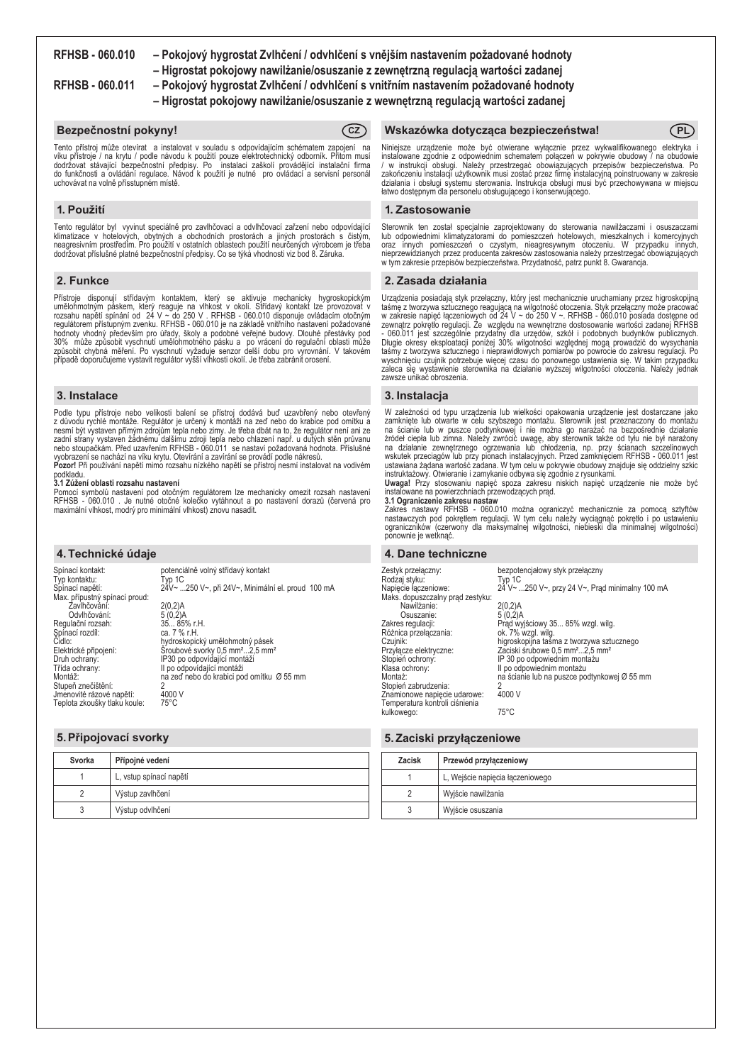**RFHSB - 060.010 – Pokojový hygrostat Zvlhčení / odvhlčení s vnějším nastavením požadované hodnoty**

**– Higrostat pokojowy nawilżanie/osuszanie z zewnętrzną regulacją wartości zadanej**

- **RFHSB 060.011 Pokojový hygrostat Zvlhčení / odvhlčení s vnitřním nastavením požadované hodnoty**
	- **Higrostat pokojowy nawilżanie/osuszanie z wewnętrzną regulacją wartości zadanej**

# **Bezpečnostní pokyny! CZ**



Tento přístroj může otevírat a instalovat v souladu s odpovídajícím schématem zapojení na víku přístroje / na krytu / podle návodu k použití pouze elektrotechnický odborník. Přitom musí dodržovat stávající bezpečnostní předpisy. Po instalaci zaškolí provádějící instalační firma do funkčnosti a ovládání regulace. Návod k použití je nutné pro ovládací a servisní personál uchovávat na volně přísstupném místě.

# **1. Použití**

Tento regulátor byl vyvinut speciálně pro zavlhčovací a odvlhčovací zařzení nebo odpovídající klimatizace v hotelových, obytných a obchodních prostorách a jiných prostorách s čistým, neagresivním prostředím. Pro použití v ostatních oblastech použití neurčených výrobcem je třeba dodržovat příslušné platné bezpečnostní předpisy. Co se týká vhodnosti viz bod 8. Záruka.

# **2. Funkce**

Přístroje disponují střídavým kontaktem, který se aktivuje mechanicky hygroskopickým<br>umělohmotným páskem, který reaguje na vlhkost v okolí. Střídavý kontakt lze provozovat v<br>rozsahu napětí spínání od 24 V ~ do 250 V . RFHS

# **3. Instalace**

Podle typu přístroje nebo velikosti balení se přístroj dodává buď uzavbřený nebo otevřený z důvodu rychlé montáže. Regulátor je určený k montáži na zeď nebo do krabice pod omítku a nesmí být vystaven přímým zdrojům tepla nebo zimy. Je třeba dbát na to, že regulátor není ani ze<br>zadní strany vystaven žádnému dalšímu zdroji tepla nebo chlazení např. u dutých stěn průvanu<br>nebo stoupačkám. Před uzavřením vyobrazení se nachází na víku krytu. Otevírání a zavírání se provádí podle nákresů.<br>**Pozor!** Při používání napětí mimo rozsahu nízkého napětí se přístroj nesmí instalovat na vodivém

podkladu.

#### **3.1 Zúžení oblasti rozsahu nastavení**

Pomocí symbolů nastavení pod otočným regulátorem lze mechanicky omezit rozsah nastavení RFHSB - 060.010 . Je nutné otočné kolečko vytáhnout a po nastavení dorazů (červená pro maximální vlhkost, modrý pro minimální vlhkost) znovu nasadit.

### **4. Technické údaje**

Spínací kontakt: potenciálně volný střídavý kontakt Typ kontaktu:<br>Spínací napětí: Typ 1C<br>24V~ ...250 V~, při 24V~, Minimální el. proud 100 mA Max. přípustný spínací proud: Zavlhčování: 2(0,2)A Pripostory Spinach produced and the produced produced by CAS-<br>
Davihčování: 5 (0,2)A<br>
Ulační rozsah: 5 (0,2)A<br>
Ulační rozsah: 35... 85% r. H.<br>
nací rozdíl: ca. 7 % r. H. Regulační rozsah: Spínací rozdíl:<br>Čidlo: Čidlo: hydroskopický umělohmotný pásek Elektrické připojení: Šroubové svorky 0,5 mm²...2,5 mm² Druh ochrany: IP30 po odpovídající montáži Trída ochrany:<br>
Třída ochrany:<br>
Třída ochrany:<br>
II po odpovídající montáži<br>
Montáž:<br>
II po odpovídající montáži<br>
II a zeď nebo do krabici po na zeď nebo do krabici pod omítku Ø 55 mm Stupeň znečištění: 2<br>Stupeň znečištění: 2<br>Jmenovité rázové nanětí: 4000 V Jmenovité rázové napětí: 4000<br>Teplota zkoušky tlaku koule: 75°C Teplota zkoušky tlaku koule:

# **5.Připojovací svorky**

| Svorka | Přípojné vedení         |
|--------|-------------------------|
|        | L, vstup spínací napětí |
|        | Výstup zavlhčení        |
|        | Výstup odvlhčení        |

# **Wskazówka dotycząca bezpieczeństwa! PL**

Niniejsze urządzenie może być otwierane wyłącznie przez wykwalifikowanego elektryka i instalowane zgodnie z odpowiednim schematem połączeń w pokrywie obudowy / na obudowie / w instrukcji obsługi. Należy przestrzegać obowiązujących przepisów bezpieczeństwa. Po zakończeniu instalacji użytkownik musi zostać przez firmę instalacyjną poinstruowany w zakresie działania i obsługi systemu sterowania. Instrukcja obsługi musi być przechowywana w miejscu łatwo dostępnym dla personelu obsługującego i konserwującego.

### **1. Zastosowanie**

Sterownik ten został specjalnie zaprojektowany do sterowania nawilżaczami i osuszaczami lub odpowiednimi klimatyzatorami do pomieszczeń hotelowych, mieszkalnych i komercyjnych oraz innych pomieszczeń o czystym, nieagresywnym otoczeniu. W przypadku innych, nieprzewidzianych przez producenta zakresów zastosowania należy przestrzegać obowiązujących w tym zakresie przepisów bezpieczeństwa. Przydatność, patrz punkt 8. Gwarancja.

# **2. Zasada działania**

Urządzenia posiadają styk przełączny, który jest mechanicznie uruchamiany przez higroskopijną taśmę z tworzywa sztucznego reagującą na wilgotność otoczenia. Styk przełączny może pracować w zakresie napięć łączeniowych od 24 V ~ do 250 V ~. RFHSB - 060.010 posiada dostępne od zewnątrz pokrętło regulacji. Ze względu na wewnętrzne dostosowanie wartości zadanej RFHSB<br>- 060.011 jest szczególnie przydatny dla urzędów, szkół i podobnych budynków publicznych.<br>Długie okresy eksploatacji poniżej 30% wil wyschnięciu czujnik potrzebuje więcej czasu do ponownego ustawienia się. W takim przypadku zaleca się wystawienie sterownika na działanie wyższej wilgotności otoczenia. Należy jednak zawsze unikać obroszenia.

### **3. Instalacja**

W zależności od typu urządzenia lub wielkości opakowania urządzenie jest dostarczane jako<br>zamknięte lub otwarte w celu szybszego montażu. Sterownik jest przeznaczony do montażu<br>na ścianie lub w puszce podtynkowej i nie moż

instruktażowy. Otwieranie i zamykanie odbywa się zgodnie z rysunkami. **Uwaga!** Przy stosowaniu napięć spoza zakresu niskich napięć urządzenie nie może być instalowane na powierzchniach przewodzących prąd.

# **3.1 Ograniczenie zakresu nastaw**

Zakres nastawy RFHSB - 060.010 można ograniczyć mechanicznie za pomocą sztyftów nastawczych pod pokrętłem regulacji. W tym celu należy wyciągnąć pokrętło i po ustawieniu ograniczników (czerwony dla maksymalnej wilgotności, niebieski dla minimalnej wilgotności) ponownie je wetknąć.

#### **4. Dane techniczne**

Zestyk przełączny: bezpotencjałowy styk przełączny Rodzaj styku:<br>Napięcie łączeniowe: Typ 1C<br>24 V~ ...250 V~, przy 24 V~, Prąd minimalny 100 mA Maks. dopuszczalny prąd zestyku: Nawilżanie: 2(0,2)A Osuszanie: 5 (0,2)A Zakres regulacji: Prąd wyjściowy 35... 85% wzgl. wilg. Różnica przełączania:<br>Czujnik: Czujnik: higroskopijna taśma z tworzywa sztucznego Przyłącze elektryczne: Zaciski śrubowe 0,5 mm²...2,5 mm² Stopień ochrony: IP 30 po odpowiednim montażu Klasa ochrony: II po odpowiednim montażu na ścianie lub na puszce podtynkowej Ø 55 mm Stopień zabrudzenia: 2<br>Znamionowe napiecje udarowe: 4000 V Znamionowe napięcie udarowe: Temperatura kontroli ciśnienia kulkowego: 75°C

# **5. Zaciski przyłączeniowe**

| <b>Zacisk</b> | Przewód przyłączeniowy           |
|---------------|----------------------------------|
|               | L, Wejście napięcia łączeniowego |
|               | Wyjście nawilżania               |
|               | Wyjście osuszania                |